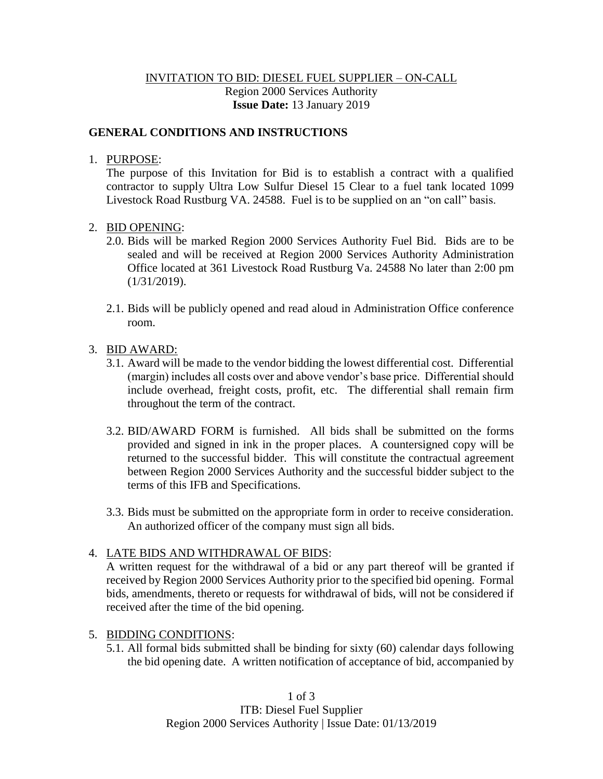# INVITATION TO BID: DIESEL FUEL SUPPLIER – ON-CALL Region 2000 Services Authority **Issue Date:** 13 January 2019

#### **GENERAL CONDITIONS AND INSTRUCTIONS**

#### 1. PURPOSE:

The purpose of this Invitation for Bid is to establish a contract with a qualified contractor to supply Ultra Low Sulfur Diesel 15 Clear to a fuel tank located 1099 Livestock Road Rustburg VA. 24588. Fuel is to be supplied on an "on call" basis.

#### 2. BID OPENING:

- 2.0. Bids will be marked Region 2000 Services Authority Fuel Bid. Bids are to be sealed and will be received at Region 2000 Services Authority Administration Office located at 361 Livestock Road Rustburg Va. 24588 No later than 2:00 pm (1/31/2019).
- 2.1. Bids will be publicly opened and read aloud in Administration Office conference room.

#### 3. BID AWARD:

- 3.1. Award will be made to the vendor bidding the lowest differential cost. Differential (margin) includes all costs over and above vendor's base price. Differential should include overhead, freight costs, profit, etc. The differential shall remain firm throughout the term of the contract.
- 3.2. BID/AWARD FORM is furnished. All bids shall be submitted on the forms provided and signed in ink in the proper places. A countersigned copy will be returned to the successful bidder. This will constitute the contractual agreement between Region 2000 Services Authority and the successful bidder subject to the terms of this IFB and Specifications.
- 3.3. Bids must be submitted on the appropriate form in order to receive consideration. An authorized officer of the company must sign all bids.

#### 4. LATE BIDS AND WITHDRAWAL OF BIDS:

A written request for the withdrawal of a bid or any part thereof will be granted if received by Region 2000 Services Authority prior to the specified bid opening. Formal bids, amendments, thereto or requests for withdrawal of bids, will not be considered if received after the time of the bid opening.

#### 5. BIDDING CONDITIONS:

5.1. All formal bids submitted shall be binding for sixty (60) calendar days following the bid opening date. A written notification of acceptance of bid, accompanied by

> 1 of 3 ITB: Diesel Fuel Supplier Region 2000 Services Authority | Issue Date: 01/13/2019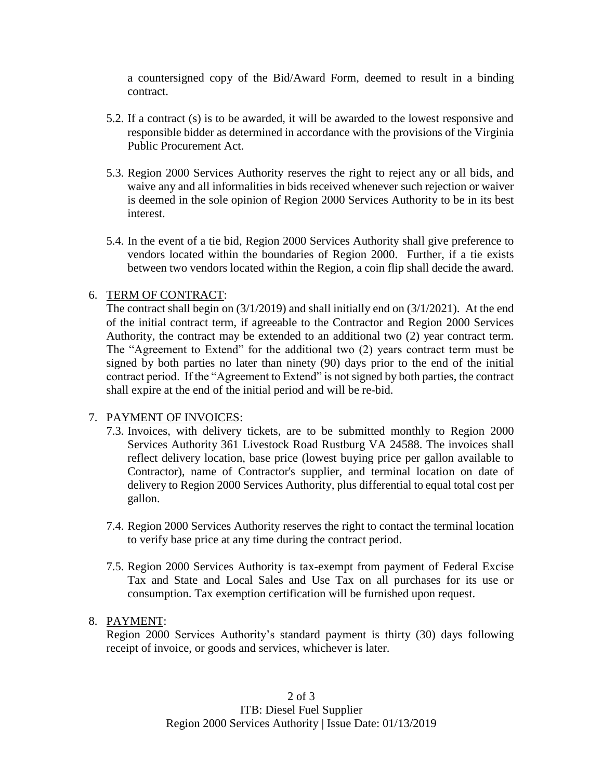a countersigned copy of the Bid/Award Form, deemed to result in a binding contract.

- 5.2. If a contract (s) is to be awarded, it will be awarded to the lowest responsive and responsible bidder as determined in accordance with the provisions of the Virginia Public Procurement Act.
- 5.3. Region 2000 Services Authority reserves the right to reject any or all bids, and waive any and all informalities in bids received whenever such rejection or waiver is deemed in the sole opinion of Region 2000 Services Authority to be in its best interest.
- 5.4. In the event of a tie bid, Region 2000 Services Authority shall give preference to vendors located within the boundaries of Region 2000. Further, if a tie exists between two vendors located within the Region, a coin flip shall decide the award.

# 6. TERM OF CONTRACT:

The contract shall begin on (3/1/2019) and shall initially end on (3/1/2021). At the end of the initial contract term, if agreeable to the Contractor and Region 2000 Services Authority, the contract may be extended to an additional two (2) year contract term. The "Agreement to Extend" for the additional two (2) years contract term must be signed by both parties no later than ninety (90) days prior to the end of the initial contract period. If the "Agreement to Extend" is not signed by both parties, the contract shall expire at the end of the initial period and will be re-bid.

#### 7. PAYMENT OF INVOICES:

- 7.3. Invoices, with delivery tickets, are to be submitted monthly to Region 2000 Services Authority 361 Livestock Road Rustburg VA 24588. The invoices shall reflect delivery location, base price (lowest buying price per gallon available to Contractor), name of Contractor's supplier, and terminal location on date of delivery to Region 2000 Services Authority, plus differential to equal total cost per gallon.
- 7.4. Region 2000 Services Authority reserves the right to contact the terminal location to verify base price at any time during the contract period.
- 7.5. Region 2000 Services Authority is tax-exempt from payment of Federal Excise Tax and State and Local Sales and Use Tax on all purchases for its use or consumption. Tax exemption certification will be furnished upon request.

#### 8. PAYMENT:

Region 2000 Services Authority's standard payment is thirty (30) days following receipt of invoice, or goods and services, whichever is later.